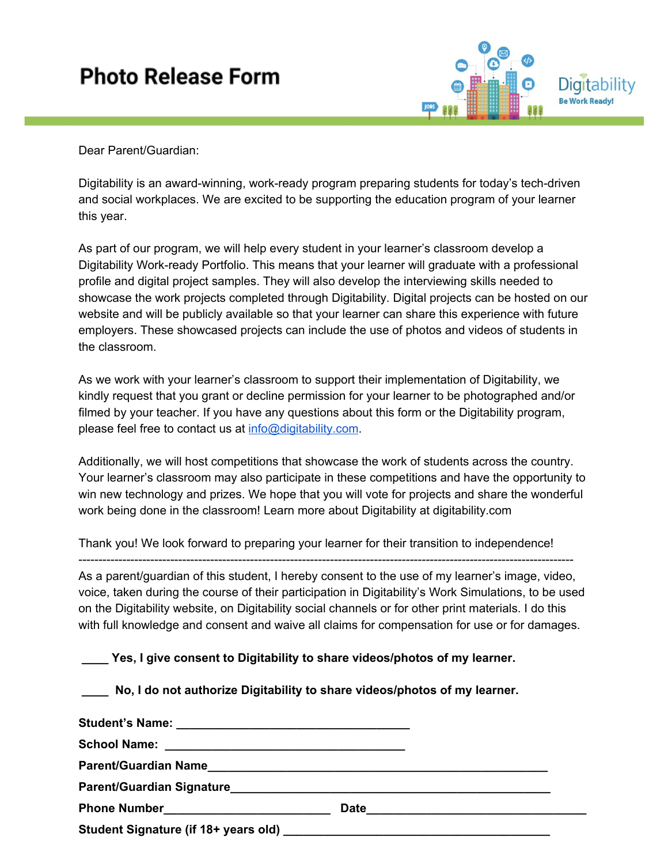## **Photo Release Form**



Dear Parent/Guardian:

Digitability is an award-winning, work-ready program preparing students for today's tech-driven and social workplaces. We are excited to be supporting the education program of your learner this year.

As part of our program, we will help every student in your learner's classroom develop a Digitability Work-ready Portfolio. This means that your learner will graduate with a professional profile and digital project samples. They will also develop the interviewing skills needed to showcase the work projects completed through Digitability. Digital projects can be hosted on our website and will be publicly available so that your learner can share this experience with future employers. These showcased projects can include the use of photos and videos of students in the classroom.

As we work with your learner's classroom to support their implementation of Digitability, we kindly request that you grant or decline permission for your learner to be photographed and/or filmed by your teacher. If you have any questions about this form or the Digitability program, please feel free to contact us at [info@digitability.com](mailto:info@digitability.com).

Additionally, we will host competitions that showcase the work of students across the country. Your learner's classroom may also participate in these competitions and have the opportunity to win new technology and prizes. We hope that you will vote for projects and share the wonderful work being done in the classroom! Learn more about Digitability at digitability.com

Thank you! We look forward to preparing your learner for their transition to independence! ---------------------------------------------------------------------------------------------------------------------------- As a parent/guardian of this student, I hereby consent to the use of my learner's image, video, voice, taken during the course of their participation in Digitability's Work Simulations, to be used on the Digitability website, on Digitability social channels or for other print materials. I do this with full knowledge and consent and waive all claims for compensation for use or for damages.

**\_\_\_\_ Yes, I give consent to Digitability to share videos/photos of my learner.**

**\_\_\_\_ No, I do not authorize Digitability to share videos/photos of my learner.**

| Student Signature (if 18+ years old) |  |
|--------------------------------------|--|